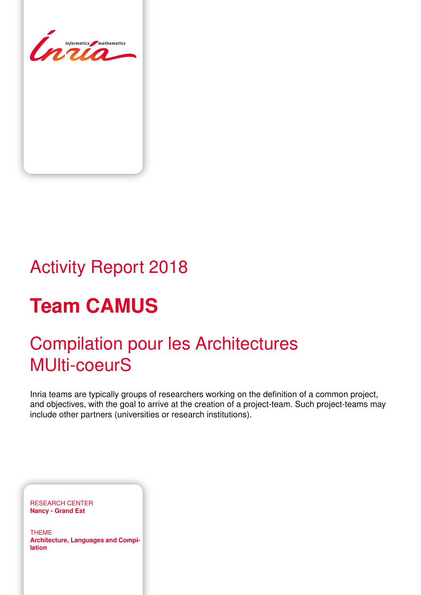

# Activity Report 2018

# **Team CAMUS**

# Compilation pour les Architectures MUlti-coeurS

Inria teams are typically groups of researchers working on the definition of a common project, and objectives, with the goal to arrive at the creation of a project-team. Such project-teams may include other partners (universities or research institutions).

RESEARCH CENTER **Nancy - Grand Est**

THEME **Architecture, Languages and Compilation**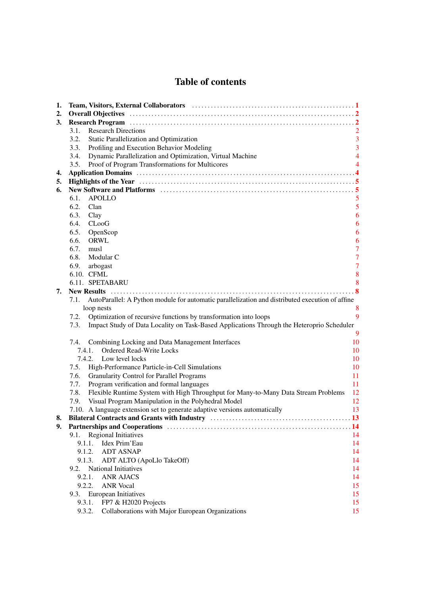# Table of contents

| 1. | Team, Visitors, External Collaborators (and the contract of the contract of the contract of the contract of the contract of the contract of the contract of the contract of the contract of the contract of the contract of th |                                  |  |  |  |
|----|--------------------------------------------------------------------------------------------------------------------------------------------------------------------------------------------------------------------------------|----------------------------------|--|--|--|
| 2. |                                                                                                                                                                                                                                |                                  |  |  |  |
| 3. | Research Program (a) and the contract of the contract of the contract of the contract of the contract of the contract of the contract of the contract of the contract of the contract of the contract of the contract of the c |                                  |  |  |  |
|    | <b>Research Directions</b><br>3.1.                                                                                                                                                                                             | $\overline{2}$                   |  |  |  |
|    | 3.2.<br>Static Parallelization and Optimization                                                                                                                                                                                | 3                                |  |  |  |
|    | Profiling and Execution Behavior Modeling<br>3.3.                                                                                                                                                                              | 3                                |  |  |  |
|    | Dynamic Parallelization and Optimization, Virtual Machine<br>3.4.                                                                                                                                                              | $\overline{4}$                   |  |  |  |
|    | 3.5.<br>Proof of Program Transformations for Multicores                                                                                                                                                                        | 4                                |  |  |  |
| 4. |                                                                                                                                                                                                                                |                                  |  |  |  |
| 5. |                                                                                                                                                                                                                                |                                  |  |  |  |
| 6. | New Software and Platforms (and the context of the state of the state of the state of the state of the state of the state of the state of the state of the state of the state of the state of the state of the state of the st |                                  |  |  |  |
|    | 6.1.<br><b>APOLLO</b>                                                                                                                                                                                                          | 5                                |  |  |  |
|    | 6.2.<br>Clan                                                                                                                                                                                                                   | 5                                |  |  |  |
|    | 6.3.<br>Clay                                                                                                                                                                                                                   | 6                                |  |  |  |
|    | 6.4.<br>$C$ Loo $G$                                                                                                                                                                                                            | 6                                |  |  |  |
|    | 6.5.<br>OpenScop                                                                                                                                                                                                               | 6                                |  |  |  |
|    | 6.6.<br>ORWL                                                                                                                                                                                                                   | 6                                |  |  |  |
|    | 6.7.<br>musl                                                                                                                                                                                                                   | $\overline{7}$<br>$\overline{7}$ |  |  |  |
|    | 6.8.<br>Modular C<br>6.9.                                                                                                                                                                                                      | $\overline{7}$                   |  |  |  |
|    | arbogast<br>6.10. CFML                                                                                                                                                                                                         | 8                                |  |  |  |
|    | 6.11. SPETABARU                                                                                                                                                                                                                | 8                                |  |  |  |
| 7. |                                                                                                                                                                                                                                | .8                               |  |  |  |
|    | AutoParallel: A Python module for automatic parallelization and distributed execution of affine<br>7.1.                                                                                                                        |                                  |  |  |  |
|    | loop nests                                                                                                                                                                                                                     | 8                                |  |  |  |
|    | Optimization of recursive functions by transformation into loops<br>7.2.                                                                                                                                                       | 9                                |  |  |  |
|    | Impact Study of Data Locality on Task-Based Applications Through the Heteroprio Scheduler<br>7.3.                                                                                                                              |                                  |  |  |  |
|    |                                                                                                                                                                                                                                | 9                                |  |  |  |
|    | Combining Locking and Data Management Interfaces<br>7.4.                                                                                                                                                                       | 10                               |  |  |  |
|    | <b>Ordered Read-Write Locks</b><br>7.4.1.                                                                                                                                                                                      | 10                               |  |  |  |
|    | 7.4.2. Low level locks                                                                                                                                                                                                         | 10                               |  |  |  |
|    | 7.5.<br>High-Performance Particle-in-Cell Simulations                                                                                                                                                                          | 10                               |  |  |  |
|    | 7.6.<br><b>Granularity Control for Parallel Programs</b>                                                                                                                                                                       | 11                               |  |  |  |
|    | Program verification and formal languages<br>7.7.                                                                                                                                                                              | 11                               |  |  |  |
|    | 7.8.<br>Flexible Runtime System with High Throughput for Many-to-Many Data Stream Problems                                                                                                                                     | 12                               |  |  |  |
|    | 7.9.<br>Visual Program Manipulation in the Polyhedral Model                                                                                                                                                                    | 12                               |  |  |  |
|    | 7.10. A language extension set to generate adaptive versions automatically                                                                                                                                                     | 13                               |  |  |  |
| 8. | Bilateral Contracts and Grants with Industry manufactured contracts and Grants with Industry manufactured and S                                                                                                                |                                  |  |  |  |
| 9. |                                                                                                                                                                                                                                |                                  |  |  |  |
|    | <b>Regional Initiatives</b><br>9.1.                                                                                                                                                                                            | 14                               |  |  |  |
|    | Idex Prim'Eau<br>9.1.1.                                                                                                                                                                                                        | 14                               |  |  |  |
|    | <b>ADT ASNAP</b><br>9.1.2.                                                                                                                                                                                                     | 14                               |  |  |  |
|    | 9.1.3.<br>ADT ALTO (ApoLlo TakeOff)                                                                                                                                                                                            | 14                               |  |  |  |
|    | <b>National Initiatives</b><br>9.2.                                                                                                                                                                                            | 14                               |  |  |  |
|    | 9.2.1.<br><b>ANR AJACS</b>                                                                                                                                                                                                     | 14                               |  |  |  |
|    | 9.2.2.<br><b>ANR</b> Vocal                                                                                                                                                                                                     | 15                               |  |  |  |
|    | European Initiatives<br>9.3.<br>9.3.1.                                                                                                                                                                                         | 15<br>15                         |  |  |  |
|    | FP7 & H2020 Projects<br>9.3.2.<br>Collaborations with Major European Organizations                                                                                                                                             | 15                               |  |  |  |
|    |                                                                                                                                                                                                                                |                                  |  |  |  |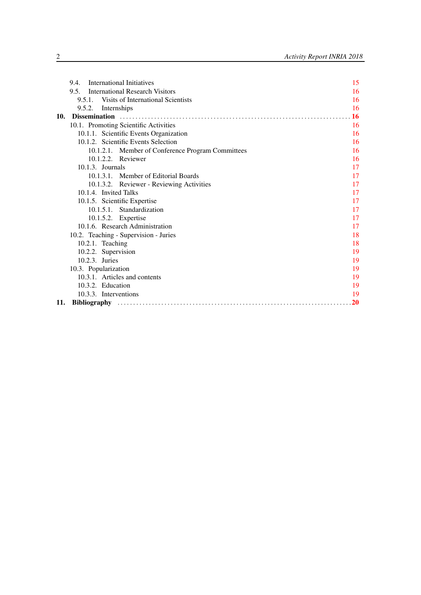|     | 9.4.                                           | International Initiatives                         | 15 |
|-----|------------------------------------------------|---------------------------------------------------|----|
|     | <b>International Research Visitors</b><br>9.5. | 16                                                |    |
|     |                                                | 9.5.1. Visits of International Scientists         | 16 |
|     | 9.5.2.                                         | Internships                                       | 16 |
| 10. |                                                |                                                   | 16 |
|     | 10.1. Promoting Scientific Activities          |                                                   | 16 |
|     | 10.1.1. Scientific Events Organization         |                                                   | 16 |
|     |                                                | 10.1.2. Scientific Events Selection               | 16 |
|     |                                                | 10.1.2.1. Member of Conference Program Committees | 16 |
|     |                                                | 10.1.2.2. Reviewer                                | 16 |
|     |                                                | $10.1.3.$ Journals                                | 17 |
|     |                                                | 10.1.3.1. Member of Editorial Boards              | 17 |
|     |                                                | 10.1.3.2. Reviewer - Reviewing Activities         | 17 |
|     |                                                | 10.1.4. Invited Talks                             | 17 |
|     |                                                | 10.1.5. Scientific Expertise                      | 17 |
|     |                                                | 10.1.5.1. Standardization                         | 17 |
|     |                                                | 10.1.5.2. Expertise                               | 17 |
|     |                                                | 10.1.6. Research Administration                   | 17 |
|     |                                                | 10.2. Teaching - Supervision - Juries             | 18 |
|     | 10.2.1. Teaching                               |                                                   | 18 |
|     |                                                | 10.2.2. Supervision                               | 19 |
|     |                                                | 10.2.3. Juries                                    | 19 |
|     | 10.3. Popularization                           |                                                   | 19 |
|     | 10.3.1. Articles and contents                  |                                                   | 19 |
|     | 10.3.2. Education                              |                                                   | 19 |
|     |                                                | 10.3.3. Interventions                             | 19 |
| 11. |                                                |                                                   | 20 |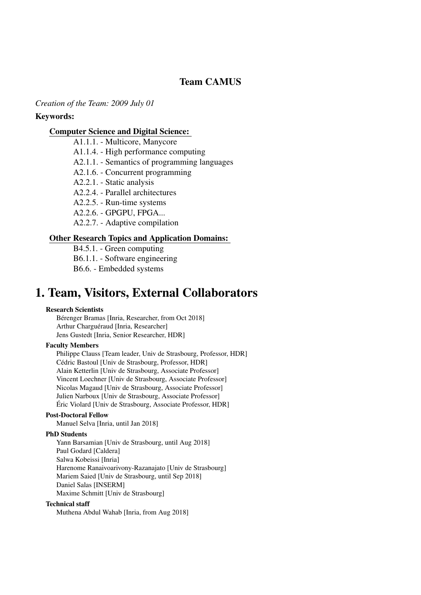# Team CAMUS

*Creation of the Team: 2009 July 01*

#### Keywords:

#### [Computer Science and Digital Science:](https://raweb.inria.fr/rapportsactivite/RA2018/static/keywords/ComputerScienceandDigitalScience.html)

A1.1.1. - Multicore, Manycore

A1.1.4. - High performance computing

A2.1.1. - Semantics of programming languages

A2.1.6. - Concurrent programming

A2.2.1. - Static analysis

A2.2.4. - Parallel architectures

A2.2.5. - Run-time systems

A2.2.6. - GPGPU, FPGA...

A2.2.7. - Adaptive compilation

#### [Other Research Topics and Application Domains:](https://raweb.inria.fr/rapportsactivite/RA2018/static/keywords/OtherResearchTopicsandApplicationDomains.html)

B4.5.1. - Green computing B6.1.1. - Software engineering B6.6. - Embedded systems

# <span id="page-4-0"></span>1. Team, Visitors, External Collaborators

#### Research Scientists

Bérenger Bramas [Inria, Researcher, from Oct 2018] Arthur Charguéraud [Inria, Researcher] Jens Gustedt [Inria, Senior Researcher, HDR]

#### Faculty Members

Philippe Clauss [Team leader, Univ de Strasbourg, Professor, HDR] Cédric Bastoul [Univ de Strasbourg, Professor, HDR] Alain Ketterlin [Univ de Strasbourg, Associate Professor] Vincent Loechner [Univ de Strasbourg, Associate Professor] Nicolas Magaud [Univ de Strasbourg, Associate Professor] Julien Narboux [Univ de Strasbourg, Associate Professor] Éric Violard [Univ de Strasbourg, Associate Professor, HDR]

#### Post-Doctoral Fellow

Manuel Selva [Inria, until Jan 2018]

#### PhD Students

Yann Barsamian [Univ de Strasbourg, until Aug 2018] Paul Godard [Caldera] Salwa Kobeissi [Inria] Harenome Ranaivoarivony-Razanajato [Univ de Strasbourg] Mariem Saied [Univ de Strasbourg, until Sep 2018] Daniel Salas [INSERM] Maxime Schmitt [Univ de Strasbourg]

#### Technical staff

Muthena Abdul Wahab [Inria, from Aug 2018]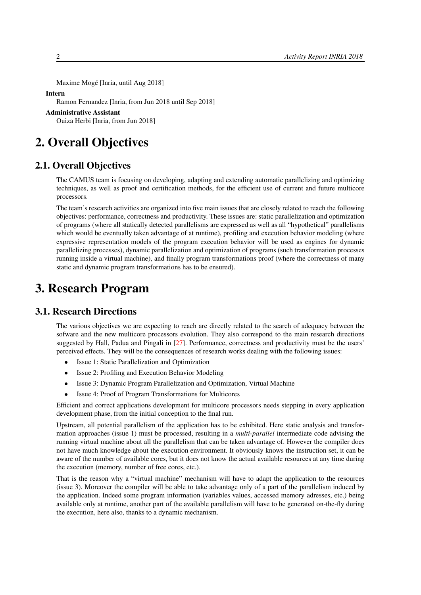Maxime Mogé [Inria, until Aug 2018]

#### Intern

Ramon Fernandez [Inria, from Jun 2018 until Sep 2018]

Administrative Assistant

<span id="page-5-0"></span>Ouiza Herbi [Inria, from Jun 2018]

# 2. Overall Objectives

## 2.1. Overall Objectives

The CAMUS team is focusing on developing, adapting and extending automatic parallelizing and optimizing techniques, as well as proof and certification methods, for the efficient use of current and future multicore processors.

The team's research activities are organized into five main issues that are closely related to reach the following objectives: performance, correctness and productivity. These issues are: static parallelization and optimization of programs (where all statically detected parallelisms are expressed as well as all "hypothetical" parallelisms which would be eventually taken advantage of at runtime), profiling and execution behavior modeling (where expressive representation models of the program execution behavior will be used as engines for dynamic parallelizing processes), dynamic parallelization and optimization of programs (such transformation processes running inside a virtual machine), and finally program transformations proof (where the correctness of many static and dynamic program transformations has to be ensured).

# <span id="page-5-1"></span>3. Research Program

#### 3.1. Research Directions

<span id="page-5-2"></span>The various objectives we are expecting to reach are directly related to the search of adequacy between the sofware and the new multicore processors evolution. They also correspond to the main research directions suggested by Hall, Padua and Pingali in [\[27\]](#page-25-0). Performance, correctness and productivity must be the users' perceived effects. They will be the consequences of research works dealing with the following issues:

- Issue 1: Static Parallelization and Optimization
- Issue 2: Profiling and Execution Behavior Modeling
- Issue 3: Dynamic Program Parallelization and Optimization, Virtual Machine
- Issue 4: Proof of Program Transformations for Multicores

Efficient and correct applications development for multicore processors needs stepping in every application development phase, from the initial conception to the final run.

Upstream, all potential parallelism of the application has to be exhibited. Here static analysis and transformation approaches (issue 1) must be processed, resulting in a *multi-parallel* intermediate code advising the running virtual machine about all the parallelism that can be taken advantage of. However the compiler does not have much knowledge about the execution environment. It obviously knows the instruction set, it can be aware of the number of available cores, but it does not know the actual available resources at any time during the execution (memory, number of free cores, etc.).

That is the reason why a "virtual machine" mechanism will have to adapt the application to the resources (issue 3). Moreover the compiler will be able to take advantage only of a part of the parallelism induced by the application. Indeed some program information (variables values, accessed memory adresses, etc.) being available only at runtime, another part of the available parallelism will have to be generated on-the-fly during the execution, here also, thanks to a dynamic mechanism.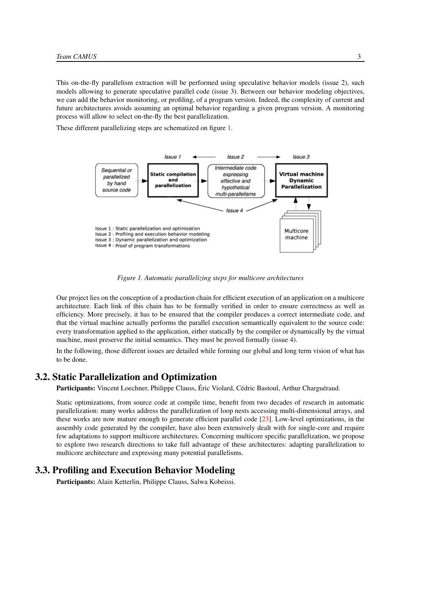This on-the-fly parallelism extraction will be performed using speculative behavior models (issue 2), such models allowing to generate speculative parallel code (issue 3). Between our behavior modeling objectives, we can add the behavior monitoring, or profiling, of a program version. Indeed, the complexity of current and future architectures avoids assuming an optimal behavior regarding a given program version. A monitoring process will allow to select on-the-fly the best parallelization.

<span id="page-6-2"></span>These different parallelizing steps are schematized on figure [1.](#page-6-2)



*Figure 1. Automatic parallelizing steps for multicore architectures*

Our project lies on the conception of a production chain for efficient execution of an application on a multicore architecture. Each link of this chain has to be formally verified in order to ensure correctness as well as efficiency. More precisely, it has to be ensured that the compiler produces a correct intermediate code, and that the virtual machine actually performs the parallel execution semantically equivalent to the source code: every transformation applied to the application, either statically by the compiler or dynamically by the virtual machine, must preserve the initial semantics. They must be proved formally (issue 4).

In the following, those different issues are detailed while forming our global and long term vision of what has to be done.

## 3.2. Static Parallelization and Optimization

<span id="page-6-0"></span>Participants: Vincent Loechner, Philippe Clauss, Éric Violard, Cédric Bastoul, Arthur Charguéraud.

Static optimizations, from source code at compile time, benefit from two decades of research in automatic parallelization: many works address the parallelization of loop nests accessing multi-dimensional arrays, and these works are now mature enough to generate efficient parallel code [\[23\]](#page-25-1). Low-level optimizations, in the assembly code generated by the compiler, have also been extensively dealt with for single-core and require few adaptations to support multicore architectures. Concerning multicore specific parallelization, we propose to explore two research directions to take full advantage of these architectures: adapting parallelization to multicore architecture and expressing many potential parallelisms.

### 3.3. Profiling and Execution Behavior Modeling

<span id="page-6-1"></span>Participants: Alain Ketterlin, Philippe Clauss, Salwa Kobeissi.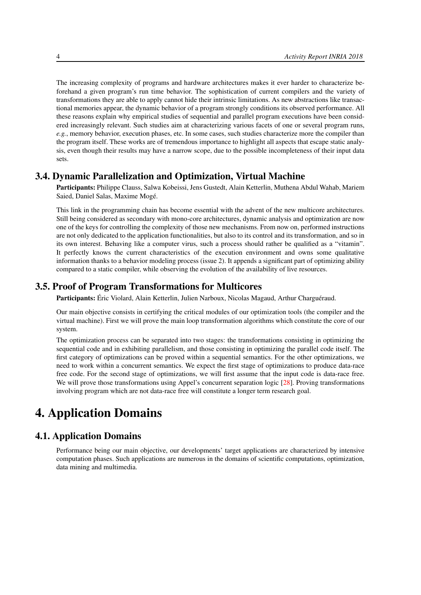The increasing complexity of programs and hardware architectures makes it ever harder to characterize beforehand a given program's run time behavior. The sophistication of current compilers and the variety of transformations they are able to apply cannot hide their intrinsic limitations. As new abstractions like transactional memories appear, the dynamic behavior of a program strongly conditions its observed performance. All these reasons explain why empirical studies of sequential and parallel program executions have been considered increasingly relevant. Such studies aim at characterizing various facets of one or several program runs, *e.g.*, memory behavior, execution phases, etc. In some cases, such studies characterize more the compiler than the program itself. These works are of tremendous importance to highlight all aspects that escape static analysis, even though their results may have a narrow scope, due to the possible incompleteness of their input data sets.

## 3.4. Dynamic Parallelization and Optimization, Virtual Machine

<span id="page-7-0"></span>Participants: Philippe Clauss, Salwa Kobeissi, Jens Gustedt, Alain Ketterlin, Muthena Abdul Wahab, Mariem Saied, Daniel Salas, Maxime Mogé.

This link in the programming chain has become essential with the advent of the new multicore architectures. Still being considered as secondary with mono-core architectures, dynamic analysis and optimization are now one of the keys for controlling the complexity of those new mechanisms. From now on, performed instructions are not only dedicated to the application functionalities, but also to its control and its transformation, and so in its own interest. Behaving like a computer virus, such a process should rather be qualified as a "vitamin". It perfectly knows the current characteristics of the execution environment and owns some qualitative information thanks to a behavior modeling process (issue 2). It appends a significant part of optimizing ability compared to a static compiler, while observing the evolution of the availability of live resources.

## 3.5. Proof of Program Transformations for Multicores

<span id="page-7-1"></span>Participants: Éric Violard, Alain Ketterlin, Julien Narboux, Nicolas Magaud, Arthur Charguéraud.

Our main objective consists in certifying the critical modules of our optimization tools (the compiler and the virtual machine). First we will prove the main loop transformation algorithms which constitute the core of our system.

The optimization process can be separated into two stages: the transformations consisting in optimizing the sequential code and in exhibiting parallelism, and those consisting in optimizing the parallel code itself. The first category of optimizations can be proved within a sequential semantics. For the other optimizations, we need to work within a concurrent semantics. We expect the first stage of optimizations to produce data-race free code. For the second stage of optimizations, we will first assume that the input code is data-race free. We will prove those transformations using Appel's concurrent separation logic [\[28\]](#page-25-2). Proving transformations involving program which are not data-race free will constitute a longer term research goal.

# <span id="page-7-2"></span>4. Application Domains

## 4.1. Application Domains

Performance being our main objective, our developments' target applications are characterized by intensive computation phases. Such applications are numerous in the domains of scientific computations, optimization, data mining and multimedia.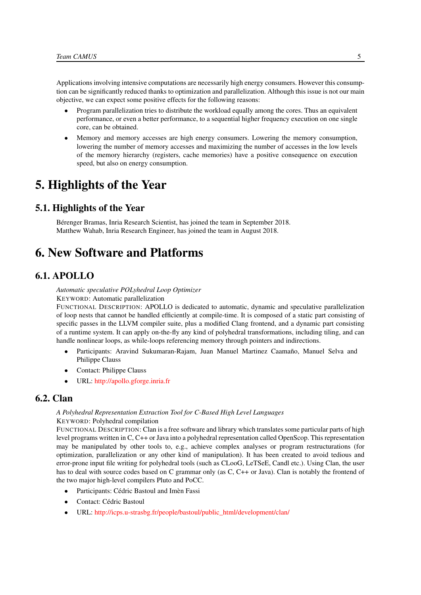Applications involving intensive computations are necessarily high energy consumers. However this consumption can be significantly reduced thanks to optimization and parallelization. Although this issue is not our main objective, we can expect some positive effects for the following reasons:

- Program parallelization tries to distribute the workload equally among the cores. Thus an equivalent performance, or even a better performance, to a sequential higher frequency execution on one single core, can be obtained.
- Memory and memory accesses are high energy consumers. Lowering the memory consumption, lowering the number of memory accesses and maximizing the number of accesses in the low levels of the memory hierarchy (registers, cache memories) have a positive consequence on execution speed, but also on energy consumption.

# <span id="page-8-0"></span>5. Highlights of the Year

## 5.1. Highlights of the Year

Bérenger Bramas, Inria Research Scientist, has joined the team in September 2018. Matthew Wahab, Inria Research Engineer, has joined the team in August 2018.

# <span id="page-8-1"></span>6. New Software and Platforms

# 6.1. APOLLO

<span id="page-8-2"></span>*Automatic speculative POLyhedral Loop Optimizer*

KEYWORD: Automatic parallelization

FUNCTIONAL DESCRIPTION: APOLLO is dedicated to automatic, dynamic and speculative parallelization of loop nests that cannot be handled efficiently at compile-time. It is composed of a static part consisting of specific passes in the LLVM compiler suite, plus a modified Clang frontend, and a dynamic part consisting of a runtime system. It can apply on-the-fly any kind of polyhedral transformations, including tiling, and can handle nonlinear loops, as while-loops referencing memory through pointers and indirections.

- Participants: Aravind Sukumaran-Rajam, Juan Manuel Martinez Caamaño, Manuel Selva and Philippe Clauss
- Contact: Philippe Clauss
- <span id="page-8-3"></span>• URL: <http://apollo.gforge.inria.fr>

# 6.2. Clan

#### *A Polyhedral Representation Extraction Tool for C-Based High Level Languages* KEYWORD: Polyhedral compilation

FUNCTIONAL DESCRIPTION: Clan is a free software and library which translates some particular parts of high level programs written in C, C++ or Java into a polyhedral representation called OpenScop. This representation may be manipulated by other tools to, e.g., achieve complex analyses or program restructurations (for optimization, parallelization or any other kind of manipulation). It has been created to avoid tedious and error-prone input file writing for polyhedral tools (such as CLooG, LeTSeE, Candl etc.). Using Clan, the user has to deal with source codes based on C grammar only (as C, C++ or Java). Clan is notably the frontend of the two major high-level compilers Pluto and PoCC.

- Participants: Cédric Bastoul and Imèn Fassi
- Contact: Cédric Bastoul
- URL: [http://icps.u-strasbg.fr/people/bastoul/public\\_html/development/clan/](http://icps.u-strasbg.fr/people/bastoul/public_html/development/clan/)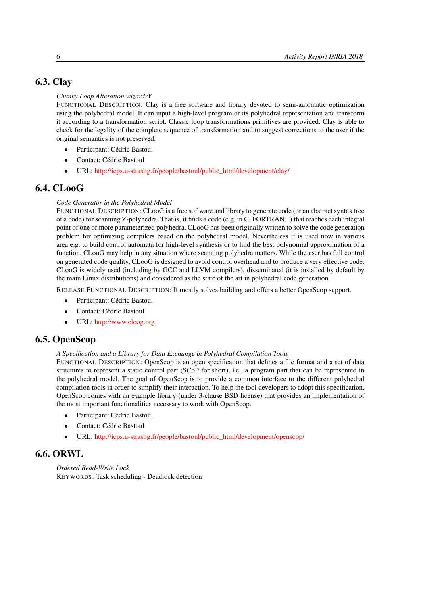# 6.3. Clay

#### <span id="page-9-0"></span>*Chunky Loop Alteration wizardrY*

FUNCTIONAL DESCRIPTION: Clay is a free software and library devoted to semi-automatic optimization using the polyhedral model. It can input a high-level program or its polyhedral representation and transform it according to a transformation script. Classic loop transformations primitives are provided. Clay is able to check for the legality of the complete sequence of transformation and to suggest corrections to the user if the original semantics is not preserved.

- Participant: Cédric Bastoul
- Contact: Cédric Bastoul
- <span id="page-9-1"></span>• URL: [http://icps.u-strasbg.fr/people/bastoul/public\\_html/development/clay/](http://icps.u-strasbg.fr/people/bastoul/public_html/development/clay/)

# 6.4. CLooG

#### *Code Generator in the Polyhedral Model*

FUNCTIONAL DESCRIPTION: CLooG is a free software and library to generate code (or an abstract syntax tree of a code) for scanning Z-polyhedra. That is, it finds a code (e.g. in C, FORTRAN...) that reaches each integral point of one or more parameterized polyhedra. CLooG has been originally written to solve the code generation problem for optimizing compilers based on the polyhedral model. Nevertheless it is used now in various area e.g. to build control automata for high-level synthesis or to find the best polynomial approximation of a function. CLooG may help in any situation where scanning polyhedra matters. While the user has full control on generated code quality, CLooG is designed to avoid control overhead and to produce a very effective code. CLooG is widely used (including by GCC and LLVM compilers), disseminated (it is installed by default by the main Linux distributions) and considered as the state of the art in polyhedral code generation.

RELEASE FUNCTIONAL DESCRIPTION: It mostly solves building and offers a better OpenScop support.

- Participant: Cédric Bastoul
- Contact: Cédric Bastoul
- <span id="page-9-2"></span>• URL: <http://www.cloog.org>

# 6.5. OpenScop

#### *A Specification and a Library for Data Exchange in Polyhedral Compilation Tools*

FUNCTIONAL DESCRIPTION: OpenScop is an open specification that defines a file format and a set of data structures to represent a static control part (SCoP for short), i.e., a program part that can be represented in the polyhedral model. The goal of OpenScop is to provide a common interface to the different polyhedral compilation tools in order to simplify their interaction. To help the tool developers to adopt this specification, OpenScop comes with an example library (under 3-clause BSD license) that provides an implementation of the most important functionalities necessary to work with OpenScop.

- Participant: Cédric Bastoul
- Contact: Cédric Bastoul
- <span id="page-9-3"></span>• URL: [http://icps.u-strasbg.fr/people/bastoul/public\\_html/development/openscop/](http://icps.u-strasbg.fr/people/bastoul/public_html/development/openscop/)

# 6.6. ORWL

*Ordered Read-Write Lock* KEYWORDS: Task scheduling - Deadlock detection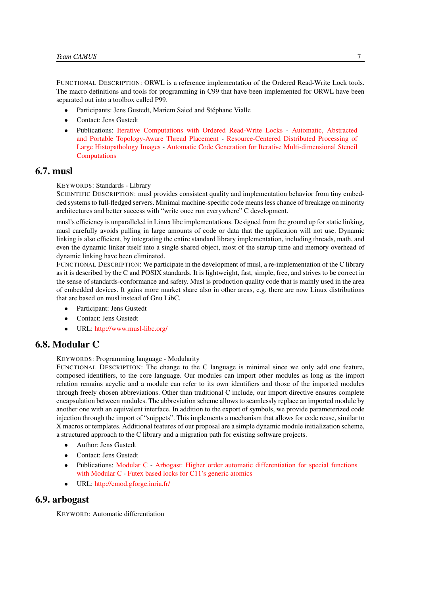FUNCTIONAL DESCRIPTION: ORWL is a reference implementation of the Ordered Read-Write Lock tools. The macro definitions and tools for programming in C99 that have been implemented for ORWL have been separated out into a toolbox called P99.

- Participants: Jens Gustedt, Mariem Saied and Stéphane Vialle
- Contact: Jens Gustedt
- Publications: [Iterative Computations with Ordered Read-Write Locks](https://hal.inria.fr/inria-00330024) [Automatic, Abstracted](https://hal.inria.fr/hal-01621936) [and Portable Topology-Aware Thread Placement](https://hal.inria.fr/hal-01621936) - [Resource-Centered Distributed Processing of](https://hal.inria.fr/hal-01325648) [Large Histopathology Images](https://hal.inria.fr/hal-01325648) - [Automatic Code Generation for Iterative Multi-dimensional Stencil](https://hal.inria.fr/hal-01337093) [Computations](https://hal.inria.fr/hal-01337093)

## 6.7. musl

#### <span id="page-10-0"></span>KEYWORDS: Standards - Library

SCIENTIFIC DESCRIPTION: musl provides consistent quality and implementation behavior from tiny embedded systems to full-fledged servers. Minimal machine-specific code means less chance of breakage on minority architectures and better success with "write once run everywhere" C development.

musl's efficiency is unparalleled in Linux libc implementations. Designed from the ground up for static linking, musl carefully avoids pulling in large amounts of code or data that the application will not use. Dynamic linking is also efficient, by integrating the entire standard library implementation, including threads, math, and even the dynamic linker itself into a single shared object, most of the startup time and memory overhead of dynamic linking have been eliminated.

FUNCTIONAL DESCRIPTION: We participate in the development of musl, a re-implementation of the C library as it is described by the C and POSIX standards. It is lightweight, fast, simple, free, and strives to be correct in the sense of standards-conformance and safety. Musl is production quality code that is mainly used in the area of embedded devices. It gains more market share also in other areas, e.g. there are now Linux distributions that are based on musl instead of Gnu LibC.

- Participant: Jens Gustedt
- Contact: Jens Gustedt
- <span id="page-10-1"></span>• URL: <http://www.musl-libc.org/>

## 6.8. Modular C

#### KEYWORDS: Programming language - Modularity

FUNCTIONAL DESCRIPTION: The change to the C language is minimal since we only add one feature, composed identifiers, to the core language. Our modules can import other modules as long as the import relation remains acyclic and a module can refer to its own identifiers and those of the imported modules through freely chosen abbreviations. Other than traditional C include, our import directive ensures complete encapsulation between modules. The abbreviation scheme allows to seamlessly replace an imported module by another one with an equivalent interface. In addition to the export of symbols, we provide parameterized code injection through the import of "snippets". This implements a mechanism that allows for code reuse, similar to X macros or templates. Additional features of our proposal are a simple dynamic module initialization scheme, a structured approach to the C library and a migration path for existing software projects.

- Author: Jens Gustedt
- Contact: Jens Gustedt
- Publications: [Modular C](https://hal.inria.fr/hal-01169491) [Arbogast: Higher order automatic differentiation for special functions](https://hal.inria.fr/hal-01307750) [with Modular C](https://hal.inria.fr/hal-01307750) - [Futex based locks for C11's generic atomics](https://hal.inria.fr/hal-01236734)
- <span id="page-10-2"></span>• URL: <http://cmod.gforge.inria.fr/>

# 6.9. arbogast

KEYWORD: Automatic differentiation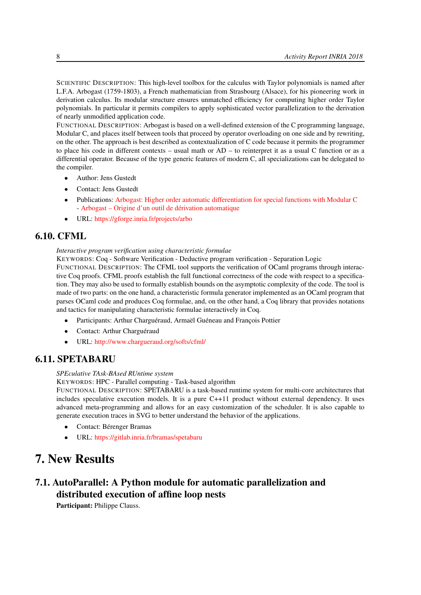SCIENTIFIC DESCRIPTION: This high-level toolbox for the calculus with Taylor polynomials is named after L.F.A. Arbogast (1759-1803), a French mathematician from Strasbourg (Alsace), for his pioneering work in derivation calculus. Its modular structure ensures unmatched efficiency for computing higher order Taylor polynomials. In particular it permits compilers to apply sophisticated vector parallelization to the derivation of nearly unmodified application code.

FUNCTIONAL DESCRIPTION: Arbogast is based on a well-defined extension of the C programming language, Modular C, and places itself between tools that proceed by operator overloading on one side and by rewriting, on the other. The approach is best described as contextualization of C code because it permits the programmer to place his code in different contexts – usual math or AD – to reinterpret it as a usual C function or as a differential operator. Because of the type generic features of modern C, all specializations can be delegated to the compiler.

- Author: Jens Gustedt
- Contact: Jens Gustedt
- Publications: [Arbogast: Higher order automatic differentiation for special functions with Modular C](https://hal.inria.fr/hal-01307750) - [Arbogast – Origine d'un outil de dérivation automatique](https://hal.inria.fr/hal-01313355)
- <span id="page-11-0"></span>• URL: <https://gforge.inria.fr/projects/arbo>

# 6.10. CFML

#### *Interactive program verification using characteristic formulae*

KEYWORDS: Coq - Software Verification - Deductive program verification - Separation Logic

FUNCTIONAL DESCRIPTION: The CFML tool supports the verification of OCaml programs through interactive Coq proofs. CFML proofs establish the full functional correctness of the code with respect to a specification. They may also be used to formally establish bounds on the asymptotic complexity of the code. The tool is made of two parts: on the one hand, a characteristic formula generator implemented as an OCaml program that parses OCaml code and produces Coq formulae, and, on the other hand, a Coq library that provides notations and tactics for manipulating characteristic formulae interactively in Coq.

- Participants: Arthur Charguéraud, Armaël Guéneau and François Pottier
- Contact: Arthur Charguéraud
- <span id="page-11-1"></span>• URL: <http://www.chargueraud.org/softs/cfml/>

# 6.11. SPETABARU

#### *SPEculative TAsk-BAsed RUntime system*

KEYWORDS: HPC - Parallel computing - Task-based algorithm

FUNCTIONAL DESCRIPTION: SPETABARU is a task-based runtime system for multi-core architectures that includes speculative execution models. It is a pure C++11 product without external dependency. It uses advanced meta-programming and allows for an easy customization of the scheduler. It is also capable to generate execution traces in SVG to better understand the behavior of the applications.

- Contact: Bérenger Bramas
- <span id="page-11-2"></span>• URL: <https://gitlab.inria.fr/bramas/spetabaru>

# 7. New Results

# <span id="page-11-3"></span>7.1. AutoParallel: A Python module for automatic parallelization and distributed execution of affine loop nests

Participant: Philippe Clauss.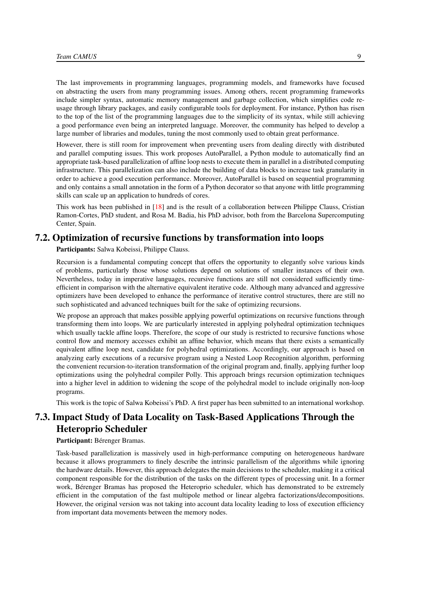The last improvements in programming languages, programming models, and frameworks have focused on abstracting the users from many programming issues. Among others, recent programming frameworks include simpler syntax, automatic memory management and garbage collection, which simplifies code reusage through library packages, and easily configurable tools for deployment. For instance, Python has risen to the top of the list of the programming languages due to the simplicity of its syntax, while still achieving a good performance even being an interpreted language. Moreover, the community has helped to develop a large number of libraries and modules, tuning the most commonly used to obtain great performance.

However, there is still room for improvement when preventing users from dealing directly with distributed and parallel computing issues. This work proposes AutoParallel, a Python module to automatically find an appropriate task-based parallelization of affine loop nests to execute them in parallel in a distributed computing infrastructure. This parallelization can also include the building of data blocks to increase task granularity in order to achieve a good execution performance. Moreover, AutoParallel is based on sequential programming and only contains a small annotation in the form of a Python decorator so that anyone with little programming skills can scale up an application to hundreds of cores.

This work has been published in [\[18\]](#page-24-0) and is the result of a collaboration between Philippe Clauss, Cristian Ramon-Cortes, PhD student, and Rosa M. Badia, his PhD advisor, both from the Barcelona Supercomputing Center, Spain.

#### 7.2. Optimization of recursive functions by transformation into loops

<span id="page-12-0"></span>Participants: Salwa Kobeissi, Philippe Clauss.

Recursion is a fundamental computing concept that offers the opportunity to elegantly solve various kinds of problems, particularly those whose solutions depend on solutions of smaller instances of their own. Nevertheless, today in imperative languages, recursive functions are still not considered sufficiently timeefficient in comparison with the alternative equivalent iterative code. Although many advanced and aggressive optimizers have been developed to enhance the performance of iterative control structures, there are still no such sophisticated and advanced techniques built for the sake of optimizing recursions.

We propose an approach that makes possible applying powerful optimizations on recursive functions through transforming them into loops. We are particularly interested in applying polyhedral optimization techniques which usually tackle affine loops. Therefore, the scope of our study is restricted to recursive functions whose control flow and memory accesses exhibit an affine behavior, which means that there exists a semantically equivalent affine loop nest, candidate for polyhedral optimizations. Accordingly, our approach is based on analyzing early executions of a recursive program using a Nested Loop Recognition algorithm, performing the convenient recursion-to-iteration transformation of the original program and, finally, applying further loop optimizations using the polyhedral compiler Polly. This approach brings recursion optimization techniques into a higher level in addition to widening the scope of the polyhedral model to include originally non-loop programs.

<span id="page-12-1"></span>This work is the topic of Salwa Kobeissi's PhD. A first paper has been submitted to an international workshop.

# 7.3. Impact Study of Data Locality on Task-Based Applications Through the Heteroprio Scheduler

#### Participant: Bérenger Bramas.

Task-based parallelization is massively used in high-performance computing on heterogeneous hardware because it allows programmers to finely describe the intrinsic parallelism of the algorithms while ignoring the hardware details. However, this approach delegates the main decisions to the scheduler, making it a critical component responsible for the distribution of the tasks on the different types of processing unit. In a former work, Bérenger Bramas has proposed the Heteroprio scheduler, which has demonstrated to be extremely efficient in the computation of the fast multipole method or linear algebra factorizations/decompositions. However, the original version was not taking into account data locality leading to loss of execution efficiency from important data movements between the memory nodes.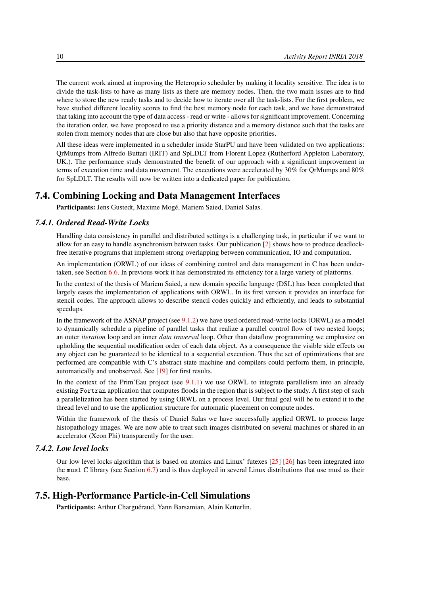The current work aimed at improving the Heteroprio scheduler by making it locality sensitive. The idea is to divide the task-lists to have as many lists as there are memory nodes. Then, the two main issues are to find where to store the new ready tasks and to decide how to iterate over all the task-lists. For the first problem, we have studied different locality scores to find the best memory node for each task, and we have demonstrated that taking into account the type of data access - read or write - allows for significant improvement. Concerning the iteration order, we have proposed to use a priority distance and a memory distance such that the tasks are stolen from memory nodes that are close but also that have opposite priorities.

All these ideas were implemented in a scheduler inside StarPU and have been validated on two applications: QrMumps from Alfredo Buttari (IRIT) and SpLDLT from Florent Lopez (Rutherford Appleton Laboratory, UK.). The performance study demonstrated the benefit of our approach with a significant improvement in terms of execution time and data movement. The executions were accelerated by 30% for QrMumps and 80% for SpLDLT. The results will now be written into a dedicated paper for publication.

#### 7.4. Combining Locking and Data Management Interfaces

<span id="page-13-1"></span><span id="page-13-0"></span>Participants: Jens Gustedt, Maxime Mogé, Mariem Saied, Daniel Salas.

#### *7.4.1. Ordered Read-Write Locks*

Handling data consistency in parallel and distributed settings is a challenging task, in particular if we want to allow for an easy to handle asynchronism between tasks. Our publication [\[2\]](#page-23-1) shows how to produce deadlockfree iterative programs that implement strong overlapping between communication, IO and computation.

An implementation (ORWL) of our ideas of combining control and data management in C has been undertaken, see Section [6.6.](#page-9-3) In previous work it has demonstrated its efficiency for a large variety of platforms.

In the context of the thesis of Mariem Saied, a new domain specific language (DSL) has been completed that largely eases the implementation of applications with ORWL. In its first version it provides an interface for stencil codes. The approach allows to describe stencil codes quickly and efficiently, and leads to substantial speedups.

In the framework of the ASNAP project (see [9.1.2\)](#page-17-3) we have used ordered read-write locks (ORWL) as a model to dynamically schedule a pipeline of parallel tasks that realize a parallel control flow of two nested loops; an outer *iteration* loop and an inner *data traversal* loop. Other than dataflow programming we emphasize on upholding the sequential modification order of each data object. As a consequence the visible side effects on any object can be guaranteed to be identical to a sequential execution. Thus the set of optimizations that are performed are compatible with C's abstract state machine and compilers could perform them, in principle, automatically and unobserved. See [\[19\]](#page-24-1) for first results.

In the context of the Prim'Eau project (see [9.1.1\)](#page-17-2) we use ORWL to integrate parallelism into an already existing Fortran application that computes floods in the region that is subject to the study. A first step of such a parallelization has been started by using ORWL on a process level. Our final goal will be to extend it to the thread level and to use the application structure for automatic placement on compute nodes.

Within the framework of the thesis of Daniel Salas we have successfully applied ORWL to process large histopathology images. We are now able to treat such images distributed on several machines or shared in an accelerator (Xeon Phi) transparently for the user.

## *7.4.2. Low level locks*

<span id="page-13-2"></span>Our low level locks algorithm that is based on atomics and Linux' futexes [\[25\]](#page-25-3) [\[26\]](#page-25-4) has been integrated into the musl C library (see Section [6.7\)](#page-10-0) and is thus deployed in several Linux distributions that use musl as their base.

### 7.5. High-Performance Particle-in-Cell Simulations

<span id="page-13-3"></span>Participants: Arthur Charguéraud, Yann Barsamian, Alain Ketterlin.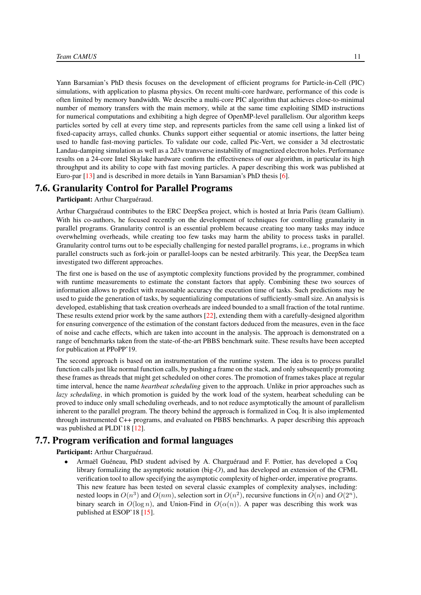Yann Barsamian's PhD thesis focuses on the development of efficient programs for Particle-in-Cell (PIC) simulations, with application to plasma physics. On recent multi-core hardware, performance of this code is often limited by memory bandwidth. We describe a multi-core PIC algorithm that achieves close-to-minimal number of memory transfers with the main memory, while at the same time exploiting SIMD instructions for numerical computations and exhibiting a high degree of OpenMP-level parallelism. Our algorithm keeps particles sorted by cell at every time step, and represents particles from the same cell using a linked list of fixed-capacity arrays, called chunks. Chunks support either sequential or atomic insertions, the latter being used to handle fast-moving particles. To validate our code, called Pic-Vert, we consider a 3d electrostatic Landau-damping simulation as well as a 2d3v transverse instability of magnetized electron holes. Performance results on a 24-core Intel Skylake hardware confirm the effectiveness of our algorithm, in particular its high throughput and its ability to cope with fast moving particles. A paper describing this work was published at Euro-par [\[13\]](#page-24-2) and is described in more details in Yann Barsamian's PhD thesis [\[6\]](#page-23-2).

#### 7.6. Granularity Control for Parallel Programs

<span id="page-14-0"></span>Participant: Arthur Charguéraud.

Arthur Charguéraud contributes to the ERC DeepSea project, which is hosted at Inria Paris (team Gallium). With his co-authors, he focused recently on the development of techniques for controlling granularity in parallel programs. Granularity control is an essential problem because creating too many tasks may induce overwhelming overheads, while creating too few tasks may harm the ability to process tasks in parallel. Granularity control turns out to be especially challenging for nested parallel programs, i.e., programs in which parallel constructs such as fork-join or parallel-loops can be nested arbitrarily. This year, the DeepSea team investigated two different approaches.

The first one is based on the use of asymptotic complexity functions provided by the programmer, combined with runtime measurements to estimate the constant factors that apply. Combining these two sources of information allows to predict with reasonable accuracy the execution time of tasks. Such predictions may be used to guide the generation of tasks, by sequentializing computations of sufficiently-small size. An analysis is developed, establishing that task creation overheads are indeed bounded to a small fraction of the total runtime. These results extend prior work by the same authors [\[22\]](#page-25-5), extending them with a carefully-designed algorithm for ensuring convergence of the estimation of the constant factors deduced from the measures, even in the face of noise and cache effects, which are taken into account in the analysis. The approach is demonstrated on a range of benchmarks taken from the state-of-the-art PBBS benchmark suite. These results have been accepted for publication at PPoPP'19.

The second approach is based on an instrumentation of the runtime system. The idea is to process parallel function calls just like normal function calls, by pushing a frame on the stack, and only subsequently promoting these frames as threads that might get scheduled on other cores. The promotion of frames takes place at regular time interval, hence the name *heartbeat scheduling* given to the approach. Unlike in prior approaches such as *lazy scheduling*, in which promotion is guided by the work load of the system, hearbeat scheduling can be proved to induce only small scheduling overheads, and to not reduce asymptotically the amount of parallelism inherent to the parallel program. The theory behind the approach is formalized in Coq. It is also implemented through instrumented C++ programs, and evaluated on PBBS benchmarks. A paper describing this approach was published at PLDI'18 [\[12\]](#page-24-3).

## 7.7. Program verification and formal languages

<span id="page-14-1"></span>Participant: Arthur Charguéraud.

• Armaël Guéneau, PhD student advised by A. Charguéraud and F. Pottier, has developed a Coq library formalizing the asymptotic notation (big-O), and has developed an extension of the CFML verification tool to allow specifying the asymptotic complexity of higher-order, imperative programs. This new feature has been tested on several classic examples of complexity analyses, including: nested loops in  $O(n^3)$  and  $O(nm)$ , selection sort in  $O(n^2)$ , recursive functions in  $O(n)$  and  $O(2^n)$ , binary search in  $O(\log n)$ , and Union-Find in  $O(\alpha(n))$ . A paper was describing this work was published at ESOP'18 [\[15\]](#page-24-4).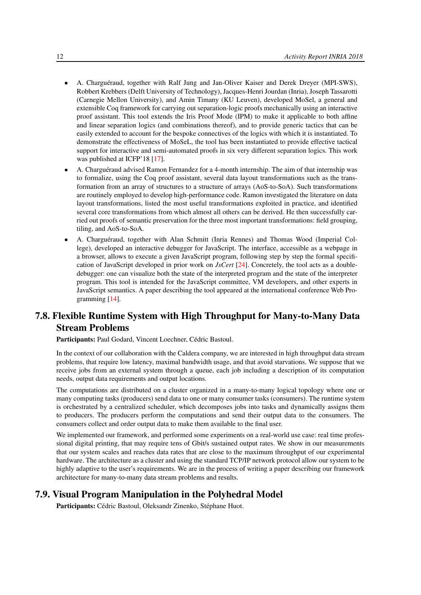- A. Charguéraud, together with Ralf Jung and Jan-Oliver Kaiser and Derek Dreyer (MPI-SWS), Robbert Krebbers (Delft University of Technology), Jacques-Henri Jourdan (Inria), Joseph Tassarotti (Carnegie Mellon University), and Amin Timany (KU Leuven), developed MoSel, a general and extensible Coq framework for carrying out separation-logic proofs mechanically using an interactive proof assistant. This tool extends the Iris Proof Mode (IPM) to make it applicable to both affine and linear separation logics (and combinations thereof), and to provide generic tactics that can be easily extended to account for the bespoke connectives of the logics with which it is instantiated. To demonstrate the effectiveness of MoSeL, the tool has been instantiated to provide effective tactical support for interactive and semi-automated proofs in six very different separation logics. This work was published at ICFP'18 [\[17\]](#page-24-5).
- A. Charguéraud advised Ramon Fernandez for a 4-month internship. The aim of that internship was to formalize, using the Coq proof assistant, several data layout transformations such as the transformation from an array of structures to a structure of arrays (AoS-to-SoA). Such transformations are routinely employed to develop high-performance code. Ramon investigated the literature on data layout transformations, listed the most useful transformations exploited in practice, and identified several core transformations from which almost all others can be derived. He then successfully carried out proofs of semantic preservation for the three most important transformations: field grouping, tiling, and AoS-to-SoA.
- A. Charguéraud, together with Alan Schmitt (Inria Rennes) and Thomas Wood (Imperial College), developed an interactive debugger for JavaScript. The interface, accessible as a webpage in a browser, allows to execute a given JavaScript program, following step by step the formal specification of JavaScript developed in prior work on *JsCert* [\[24\]](#page-25-6). Concretely, the tool acts as a doubledebugger: one can visualize both the state of the interpreted program and the state of the interpreter program. This tool is intended for the JavaScript committee, VM developers, and other experts in JavaScript semantics. A paper describing the tool appeared at the international conference Web Programming [\[14\]](#page-24-6).

# <span id="page-15-0"></span>7.8. Flexible Runtime System with High Throughput for Many-to-Many Data Stream Problems

Participants: Paul Godard, Vincent Loechner, Cédric Bastoul.

In the context of our collaboration with the Caldera company, we are interested in high throughput data stream problems, that require low latency, maximal bandwidth usage, and that avoid starvations. We suppose that we receive jobs from an external system through a queue, each job including a description of its computation needs, output data requirements and output locations.

The computations are distributed on a cluster organized in a many-to-many logical topology where one or many computing tasks (producers) send data to one or many consumer tasks (consumers). The runtime system is orchestrated by a centralized scheduler, which decomposes jobs into tasks and dynamically assigns them to producers. The producers perform the computations and send their output data to the consumers. The consumers collect and order output data to make them available to the final user.

We implemented our framework, and performed some experiments on a real-world use case: real time professional digital printing, that may require tens of Gbit/s sustained output rates. We show in our measurements that our system scales and reaches data rates that are close to the maximum throughput of our experimental hardware. The architecture as a cluster and using the standard TCP/IP network protocol allow our system to be highly adaptive to the user's requirements. We are in the process of writing a paper describing our framework architecture for many-to-many data stream problems and results.

#### 7.9. Visual Program Manipulation in the Polyhedral Model

<span id="page-15-1"></span>Participants: Cédric Bastoul, Oleksandr Zinenko, Stéphane Huot.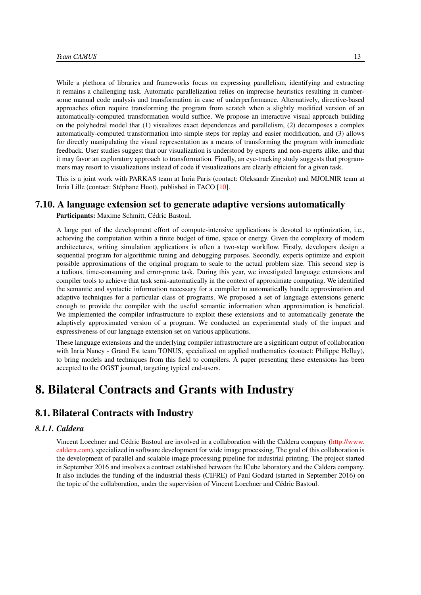While a plethora of libraries and frameworks focus on expressing parallelism, identifying and extracting it remains a challenging task. Automatic parallelization relies on imprecise heuristics resulting in cumbersome manual code analysis and transformation in case of underperformance. Alternatively, directive-based approaches often require transforming the program from scratch when a slightly modified version of an automatically-computed transformation would suffice. We propose an interactive visual approach building on the polyhedral model that (1) visualizes exact dependences and parallelism, (2) decomposes a complex automatically-computed transformation into simple steps for replay and easier modification, and (3) allows for directly manipulating the visual representation as a means of transforming the program with immediate feedback. User studies suggest that our visualization is understood by experts and non-experts alike, and that it may favor an exploratory approach to transformation. Finally, an eye-tracking study suggests that programmers may resort to visualizations instead of code if visualizations are clearly efficient for a given task.

This is a joint work with PARKAS team at Inria Paris (contact: Oleksandr Zinenko) and MJOLNIR team at Inria Lille (contact: Stéphane Huot), published in TACO [\[10\]](#page-23-3).

#### 7.10. A language extension set to generate adaptive versions automatically

<span id="page-16-0"></span>Participants: Maxime Schmitt, Cédric Bastoul.

A large part of the development effort of compute-intensive applications is devoted to optimization, i.e., achieving the computation within a finite budget of time, space or energy. Given the complexity of modern architectures, writing simulation applications is often a two-step workflow. Firstly, developers design a sequential program for algorithmic tuning and debugging purposes. Secondly, experts optimize and exploit possible approximations of the original program to scale to the actual problem size. This second step is a tedious, time-consuming and error-prone task. During this year, we investigated language extensions and compiler tools to achieve that task semi-automatically in the context of approximate computing. We identified the semantic and syntactic information necessary for a compiler to automatically handle approximation and adaptive techniques for a particular class of programs. We proposed a set of language extensions generic enough to provide the compiler with the useful semantic information when approximation is beneficial. We implemented the compiler infrastructure to exploit these extensions and to automatically generate the adaptively approximated version of a program. We conducted an experimental study of the impact and expressiveness of our language extension set on various applications.

These language extensions and the underlying compiler infrastructure are a significant output of collaboration with Inria Nancy - Grand Est team TONUS, specialized on applied mathematics (contact: Philippe Helluy), to bring models and techniques from this field to compilers. A paper presenting these extensions has been accepted to the OGST journal, targeting typical end-users.

# <span id="page-16-1"></span>8. Bilateral Contracts and Grants with Industry

# 8.1. Bilateral Contracts with Industry

#### *8.1.1. Caldera*

Vincent Loechner and Cédric Bastoul are involved in a collaboration with the Caldera company [\(http://www.](http://www.caldera.com) [caldera.com\)](http://www.caldera.com), specialized in software development for wide image processing. The goal of this collaboration is the development of parallel and scalable image processing pipeline for industrial printing. The project started in September 2016 and involves a contract established between the ICube laboratory and the Caldera company. It also includes the funding of the industrial thesis (CIFRE) of Paul Godard (started in September 2016) on the topic of the collaboration, under the supervision of Vincent Loechner and Cédric Bastoul.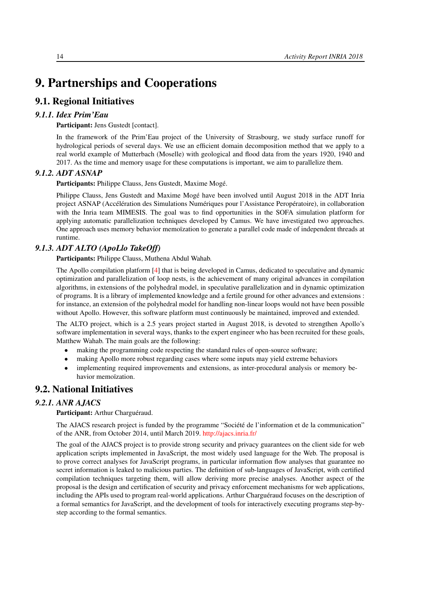# <span id="page-17-0"></span>9. Partnerships and Cooperations

# <span id="page-17-1"></span>9.1. Regional Initiatives

#### *9.1.1. Idex Prim'Eau*

<span id="page-17-2"></span>Participant: Jens Gustedt [contact].

In the framework of the Prim'Eau project of the University of Strasbourg, we study surface runoff for hydrological periods of several days. We use an efficient domain decomposition method that we apply to a real world example of Mutterbach (Moselle) with geological and flood data from the years 1920, 1940 and 2017. As the time and memory usage for these computations is important, we aim to parallelize them.

#### *9.1.2. ADT ASNAP*

<span id="page-17-3"></span>Participants: Philippe Clauss, Jens Gustedt, Maxime Mogé.

Philippe Clauss, Jens Gustedt and Maxime Mogé have been involved until August 2018 in the ADT Inria project ASNAP (Accélération des Simulations Numériques pour l'Assistance Peropératoire), in collaboration with the Inria team MIMESIS. The goal was to find opportunities in the SOFA simulation platform for applying automatic parallelization techniques developed by Camus. We have investigated two approaches. One approach uses memory behavior memoïzation to generate a parallel code made of independent threads at runtime.

#### *9.1.3. ADT ALTO (ApoLlo TakeOff)*

<span id="page-17-4"></span>Participants: Philippe Clauss, Muthena Abdul Wahab.

The Apollo compilation platform [\[4\]](#page-23-4) that is being developed in Camus, dedicated to speculative and dynamic optimization and parallelization of loop nests, is the achievement of many original advances in compilation algorithms, in extensions of the polyhedral model, in speculative parallelization and in dynamic optimization of programs. It is a library of implemented knowledge and a fertile ground for other advances and extensions : for instance, an extension of the polyhedral model for handling non-linear loops would not have been possible without Apollo. However, this software platform must continuously be maintained, improved and extended.

The ALTO project, which is a 2.5 years project started in August 2018, is devoted to strengthen Apollo's software implementation in several ways, thanks to the expert engineer who has been recruited for these goals, Matthew Wahab. The main goals are the following:

- making the programming code respecting the standard rules of open-source software;
- making Apollo more robust regarding cases where some inputs may yield extreme behaviors
- <span id="page-17-5"></span>• implementing required improvements and extensions, as inter-procedural analysis or memory behavior memoïzation.

# 9.2. National Initiatives

#### *9.2.1. ANR AJACS*

<span id="page-17-6"></span>Participant: Arthur Charguéraud.

The AJACS research project is funded by the programme "Société de l'information et de la communication" of the ANR, from October 2014, until March 2019. <http://ajacs.inria.fr/>

The goal of the AJACS project is to provide strong security and privacy guarantees on the client side for web application scripts implemented in JavaScript, the most widely used language for the Web. The proposal is to prove correct analyses for JavaScript programs, in particular information flow analyses that guarantee no secret information is leaked to malicious parties. The definition of sub-languages of JavaScript, with certified compilation techniques targeting them, will allow deriving more precise analyses. Another aspect of the proposal is the design and certification of security and privacy enforcement mechanisms for web applications, including the APIs used to program real-world applications. Arthur Charguéraud focuses on the description of a formal semantics for JavaScript, and the development of tools for interactively executing programs step-bystep according to the formal semantics.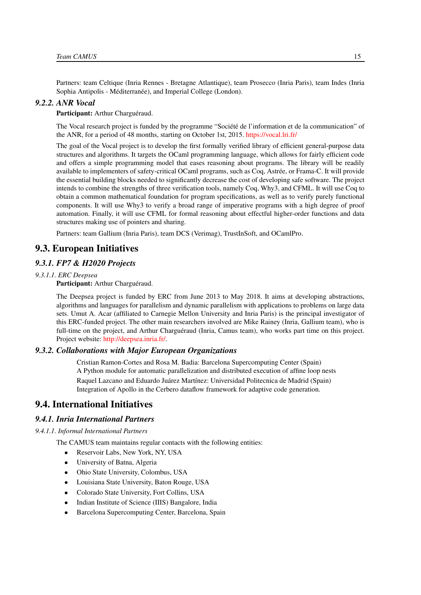Partners: team Celtique (Inria Rennes - Bretagne Atlantique), team Prosecco (Inria Paris), team Indes (Inria Sophia Antipolis - Méditerranée), and Imperial College (London).

#### *9.2.2. ANR Vocal*

#### <span id="page-18-0"></span>Participant: Arthur Charguéraud.

The Vocal research project is funded by the programme "Société de l'information et de la communication" of the ANR, for a period of 48 months, starting on October 1st, 2015. <https://vocal.lri.fr/>

The goal of the Vocal project is to develop the first formally verified library of efficient general-purpose data structures and algorithms. It targets the OCaml programming language, which allows for fairly efficient code and offers a simple programming model that eases reasoning about programs. The library will be readily available to implementers of safety-critical OCaml programs, such as Coq, Astrée, or Frama-C. It will provide the essential building blocks needed to significantly decrease the cost of developing safe software. The project intends to combine the strengths of three verification tools, namely Coq, Why3, and CFML. It will use Coq to obtain a common mathematical foundation for program specifications, as well as to verify purely functional components. It will use Why3 to verify a broad range of imperative programs with a high degree of proof automation. Finally, it will use CFML for formal reasoning about effectful higher-order functions and data structures making use of pointers and sharing.

<span id="page-18-1"></span>Partners: team Gallium (Inria Paris), team DCS (Verimag), TrustInSoft, and OCamlPro.

## 9.3. European Initiatives

#### <span id="page-18-2"></span>*9.3.1. FP7 & H2020 Projects*

#### *9.3.1.1. ERC Deepsea*

Participant: Arthur Charguéraud.

The Deepsea project is funded by ERC from June 2013 to May 2018. It aims at developing abstractions, algorithms and languages for parallelism and dynamic parallelism with applications to problems on large data sets. Umut A. Acar (affiliated to Carnegie Mellon University and Inria Paris) is the principal investigator of this ERC-funded project. The other main researchers involved are Mike Rainey (Inria, Gallium team), who is full-time on the project, and Arthur Charguéraud (Inria, Camus team), who works part time on this project. Project website: [http://deepsea.inria.fr/.](http://deepsea.inria.fr/)

#### <span id="page-18-3"></span>*9.3.2. Collaborations with Major European Organizations*

Cristian Ramon-Cortes and Rosa M. Badia: Barcelona Supercomputing Center (Spain) A Python module for automatic parallelization and distributed execution of affine loop nests Raquel Lazcano and Eduardo Juárez Martínez: Universidad Politecnica de Madrid (Spain) Integration of Apollo in the Cerbero dataflow framework for adaptive code generation.

### <span id="page-18-4"></span>9.4. International Initiatives

#### *9.4.1. Inria International Partners*

*9.4.1.1. Informal International Partners*

The CAMUS team maintains regular contacts with the following entities:

- Reservoir Labs, New York, NY, USA
- University of Batna, Algeria
- Ohio State University, Colombus, USA
- Louisiana State University, Baton Rouge, USA
- Colorado State University, Fort Collins, USA
- Indian Institute of Science (IIIS) Bangalore, India
- Barcelona Supercomputing Center, Barcelona, Spain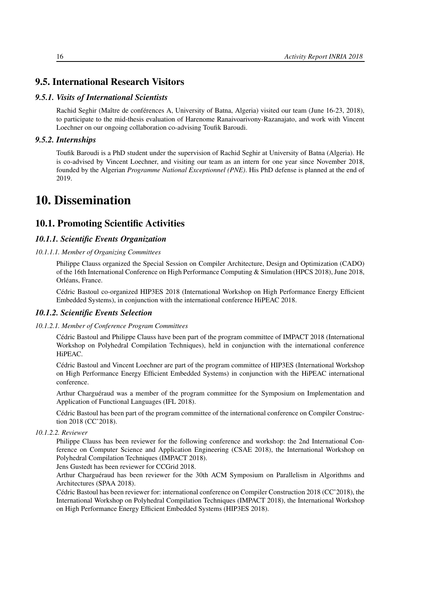# <span id="page-19-0"></span>9.5. International Research Visitors

#### *9.5.1. Visits of International Scientists*

<span id="page-19-1"></span>Rachid Seghir (Maître de conférences A, University of Batna, Algeria) visited our team (June 16-23, 2018), to participate to the mid-thesis evaluation of Harenome Ranaivoarivony-Razanajato, and work with Vincent Loechner on our ongoing collaboration co-advising Toufik Baroudi.

#### *9.5.2. Internships*

<span id="page-19-2"></span>Toufik Baroudi is a PhD student under the supervision of Rachid Seghir at University of Batna (Algeria). He is co-advised by Vincent Loechner, and visiting our team as an intern for one year since November 2018, founded by the Algerian *Programme National Exceptionnel (PNE)*. His PhD defense is planned at the end of 2019.

# <span id="page-19-3"></span>10. Dissemination

# <span id="page-19-4"></span>10.1. Promoting Scientific Activities

#### <span id="page-19-5"></span>*10.1.1. Scientific Events Organization*

#### *10.1.1.1. Member of Organizing Committees*

Philippe Clauss organized the Special Session on Compiler Architecture, Design and Optimization (CADO) of the 16th International Conference on High Performance Computing & Simulation (HPCS 2018), June 2018, Orléans, France.

<span id="page-19-6"></span>Cédric Bastoul co-organized HIP3ES 2018 (International Workshop on High Performance Energy Efficient Embedded Systems), in conjunction with the international conference HiPEAC 2018.

#### *10.1.2. Scientific Events Selection*

#### *10.1.2.1. Member of Conference Program Committees*

<span id="page-19-7"></span>Cédric Bastoul and Philippe Clauss have been part of the program committee of IMPACT 2018 (International Workshop on Polyhedral Compilation Techniques), held in conjunction with the international conference HiPEAC.

Cédric Bastoul and Vincent Loechner are part of the program committee of HIP3ES (International Workshop on High Performance Energy Efficient Embedded Systems) in conjunction with the HiPEAC international conference.

Arthur Charguéraud was a member of the program committee for the Symposium on Implementation and Application of Functional Languages (IFL 2018).

Cédric Bastoul has been part of the program committee of the international conference on Compiler Construction 2018 (CC'2018).

#### *10.1.2.2. Reviewer*

<span id="page-19-8"></span>Philippe Clauss has been reviewer for the following conference and workshop: the 2nd International Conference on Computer Science and Application Engineering (CSAE 2018), the International Workshop on Polyhedral Compilation Techniques (IMPACT 2018).

Jens Gustedt has been reviewer for CCGrid 2018.

Arthur Charguéraud has been reviewer for the 30th ACM Symposium on Parallelism in Algorithms and Architectures (SPAA 2018).

Cédric Bastoul has been reviewer for: international conference on Compiler Construction 2018 (CC'2018), the International Workshop on Polyhedral Compilation Techniques (IMPACT 2018), the International Workshop on High Performance Energy Efficient Embedded Systems (HIP3ES 2018).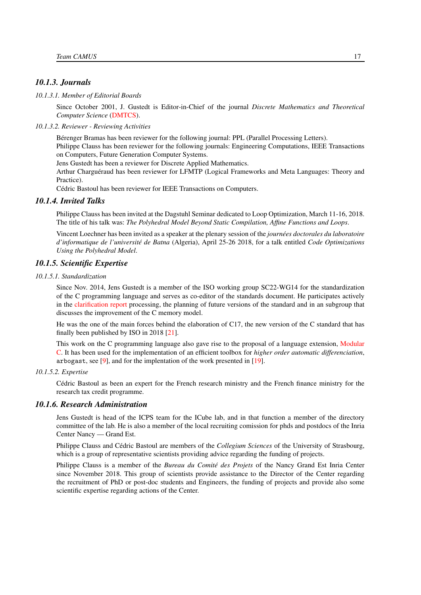#### <span id="page-20-0"></span>*10.1.3. Journals*

#### *10.1.3.1. Member of Editorial Boards*

<span id="page-20-1"></span>Since October 2001, J. Gustedt is Editor-in-Chief of the journal *Discrete Mathematics and Theoretical Computer Science* [\(DMTCS\)](http://dmtcs.episciences.org/).

#### *10.1.3.2. Reviewer - Reviewing Activities*

<span id="page-20-2"></span>Bérenger Bramas has been reviewer for the following journal: PPL (Parallel Processing Letters). Philippe Clauss has been reviewer for the following journals: Engineering Computations, IEEE Transactions on Computers, Future Generation Computer Systems.

Jens Gustedt has been a reviewer for Discrete Applied Mathematics.

Arthur Charguéraud has been reviewer for LFMTP (Logical Frameworks and Meta Languages: Theory and Practice).

<span id="page-20-3"></span>Cédric Bastoul has been reviewer for IEEE Transactions on Computers.

#### *10.1.4. Invited Talks*

Philippe Clauss has been invited at the Dagstuhl Seminar dedicated to Loop Optimization, March 11-16, 2018. The title of his talk was: *The Polyhedral Model Beyond Static Compilation, Affine Functions and Loops*.

Vincent Loechner has been invited as a speaker at the plenary session of the *journées doctorales du laboratoire d'informatique de l'université de Batna* (Algeria), April 25-26 2018, for a talk entitled *Code Optimizations Using the Polyhedral Model*.

#### <span id="page-20-4"></span>*10.1.5. Scientific Expertise*

#### *10.1.5.1. Standardization*

<span id="page-20-5"></span>Since Nov. 2014, Jens Gustedt is a member of the ISO working group SC22-WG14 for the standardization of the C programming language and serves as co-editor of the standards document. He participates actively in the [clarification report](http://www.open-std.org/jtc1/sc22/wg14/www/docs/n2257.htm) processing, the planning of future versions of the standard and in an subgroup that discusses the improvement of the C memory model.

He was the one of the main forces behind the elaboration of C17, the new version of the C standard that has finally been published by ISO in 2018 [\[21\]](#page-25-7).

This work on the C programming language also gave rise to the proposal of a language extension, [Modular](http://cmod.gforge.inria.fr/) [C.](http://cmod.gforge.inria.fr/) It has been used for the implementation of an efficient toolbox for *higher order automatic differenciation*, arbogast, see [\[9\]](#page-23-5), and for the implentation of the work presented in [\[19\]](#page-24-1).

#### *10.1.5.2. Expertise*

<span id="page-20-6"></span>Cédric Bastoul as been an expert for the French research ministry and the French finance ministry for the research tax credit programme.

#### *10.1.6. Research Administration*

<span id="page-20-7"></span>Jens Gustedt is head of the ICPS team for the ICube lab, and in that function a member of the directory committee of the lab. He is also a member of the local recruiting comission for phds and postdocs of the Inria Center Nancy — Grand Est.

Philippe Clauss and Cédric Bastoul are members of the *Collegium Sciences* of the University of Strasbourg, which is a group of representative scientists providing advice regarding the funding of projects.

Philippe Clauss is a member of the *Bureau du Comité des Projets* of the Nancy Grand Est Inria Center since November 2018. This group of scientists provide assistance to the Director of the Center regarding the recruitment of PhD or post-doc students and Engineers, the funding of projects and provide also some scientific expertise regarding actions of the Center.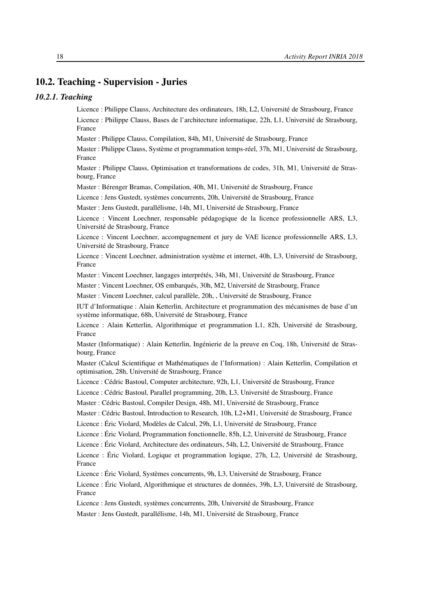# <span id="page-21-0"></span>10.2. Teaching - Supervision - Juries

#### <span id="page-21-1"></span>*10.2.1. Teaching*

Licence : Philippe Clauss, Architecture des ordinateurs, 18h, L2, Université de Strasbourg, France

Licence : Philippe Clauss, Bases de l'architecture informatique, 22h, L1, Université de Strasbourg, France

Master : Philippe Clauss, Compilation, 84h, M1, Université de Strasbourg, France

Master : Philippe Clauss, Système et programmation temps-réel, 37h, M1, Université de Strasbourg, France

Master : Philippe Clauss, Optimisation et transformations de codes, 31h, M1, Université de Strasbourg, France

Master : Bérenger Bramas, Compilation, 40h, M1, Université de Strasbourg, France

Licence : Jens Gustedt, systèmes concurrents, 20h, Université de Strasbourg, France

Master : Jens Gustedt, parallélisme, 14h, M1, Université de Strasbourg, France

Licence : Vincent Loechner, responsable pédagogique de la licence professionnelle ARS, L3, Université de Strasbourg, France

Licence : Vincent Loechner, accompagnement et jury de VAE licence professionnelle ARS, L3, Université de Strasbourg, France

Licence : Vincent Loechner, administration système et internet, 40h, L3, Université de Strasbourg, France

Master : Vincent Loechner, langages interprétés, 34h, M1, Université de Strasbourg, France

Master : Vincent Loechner, OS embarqués, 30h, M2, Université de Strasbourg, France

Master : Vincent Loechner, calcul parallèle, 20h, , Université de Strasbourg, France

IUT d'Informatique : Alain Ketterlin, Architecture et programmation des mécanismes de base d'un système informatique, 68h, Université de Strasbourg, France

Licence : Alain Ketterlin, Algorithmique et programmation L1, 82h, Université de Strasbourg, France

Master (Informatique) : Alain Ketterlin, Ingénierie de la preuve en Coq, 18h, Université de Strasbourg, France

Master (Calcul Scientifique et Mathématiques de l'Information) : Alain Ketterlin, Compilation et optimisation, 28h, Université de Strasbourg, France

Licence : Cédric Bastoul, Computer architecture, 92h, L1, Université de Strasbourg, France

Licence : Cédric Bastoul, Parallel programming, 20h, L3, Université de Strasbourg, France

Master : Cédric Bastoul, Compiler Design, 48h, M1, Université de Strasbourg, France

Master : Cédric Bastoul, Introduction to Research, 10h, L2+M1, Université de Strasbourg, France

Licence : Éric Violard, Modèles de Calcul, 29h, L1, Université de Strasbourg, France

Licence : Éric Violard, Programmation fonctionnelle, 85h, L2, Université de Strasbourg, France

Licence : Éric Violard, Architecture des ordinateurs, 54h, L2, Université de Strasbourg, France

Licence : Éric Violard, Logique et programmation logique, 27h, L2, Université de Strasbourg, France

Licence : Éric Violard, Systèmes concurrents, 9h, L3, Université de Strasbourg, France

Licence : Éric Violard, Algorithmique et structures de données, 39h, L3, Université de Strasbourg, France

Licence : Jens Gustedt, systèmes concurrents, 20h, Université de Strasbourg, France

Master : Jens Gustedt, parallélisme, 14h, M1, Université de Strasbourg, France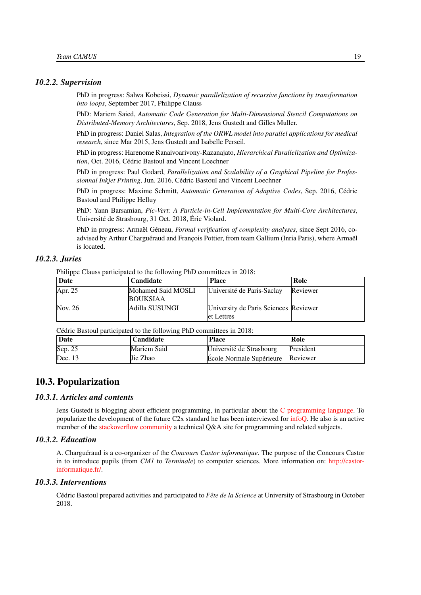#### <span id="page-22-0"></span>*10.2.2. Supervision*

PhD in progress: Salwa Kobeissi, *Dynamic parallelization of recursive functions by transformation into loops*, September 2017, Philippe Clauss

PhD: Mariem Saied, *Automatic Code Generation for Multi-Dimensional Stencil Computations on Distributed-Memory Architectures*, Sep. 2018, Jens Gustedt and Gilles Muller.

PhD in progress: Daniel Salas, *Integration of the ORWL model into parallel applications for medical research*, since Mar 2015, Jens Gustedt and Isabelle Perseil.

PhD in progress: Harenome Ranaivoarivony-Razanajato, *Hierarchical Parallelization and Optimization*, Oct. 2016, Cédric Bastoul and Vincent Loechner

PhD in progress: Paul Godard, *Parallelization and Scalability of a Graphical Pipeline for Professionnal Inkjet Printing*, Jun. 2016, Cédric Bastoul and Vincent Loechner

PhD in progress: Maxime Schmitt, *Automatic Generation of Adaptive Codes*, Sep. 2016, Cédric Bastoul and Philippe Helluy

PhD: Yann Barsamian, *Pic-Vert: A Particle-in-Cell Implementation for Multi-Core Architectures*, Université de Strasbourg, 31 Oct. 2018, Éric Violard.

PhD in progress: Armaël Géneau, *Formal verification of complexity analyses*, since Sept 2016, coadvised by Arthur Charguéraud and François Pottier, from team Gallium (Inria Paris), where Armaël is located.

### *10.2.3. Juries*

<span id="page-22-1"></span>Philippe Clauss participated to the following PhD committees in 2018:

| Date    | Candidate          | <b>Place</b>                          | Role     |
|---------|--------------------|---------------------------------------|----------|
| Apr. 25 | Mohamed Said MOSLI | Université de Paris-Saclay            | Reviewer |
|         | <b>BOUKSIAA</b>    |                                       |          |
| Nov. 26 | lAdilla SUSUNGI    | University de Paris Sciences Reviewer |          |
|         |                    | let Lettres                           |          |

Cédric Bastoul participated to the following PhD committees in 2018:

| Date    | <b>Candidate</b> | <b>Place</b>                      | Role      |
|---------|------------------|-----------------------------------|-----------|
| Sep. 25 | Mariem Said      | Université de Strasbourg          | President |
| Dec. 13 | Jie Zhao         | Ecole Normale Supérieure Reviewer |           |

#### <span id="page-22-2"></span>10.3. Popularization

#### *10.3.1. Articles and contents*

<span id="page-22-3"></span>Jens Gustedt is blogging about efficient programming, in particular about the [C programming language.](http://gustedt.wordpress.com/) To popularize the development of the future C2x standard he has been interviewed for [infoQ.](https://www.infoq.com/news/2018/11/c2x-next-c-standard) He also is an active member of the [stackoverflow community](http://stackoverflow.com/questions/tagged/c) a technical Q&A site for programming and related subjects.

#### *10.3.2. Education*

<span id="page-22-4"></span>A. Charguéraud is a co-organizer of the *Concours Castor informatique*. The purpose of the Concours Castor in to introduce pupils (from *CM1* to *Terminale*) to computer sciences. More information on: [http://castor](http://castor-informatique.fr/)[informatique.fr/.](http://castor-informatique.fr/)

#### *10.3.3. Interventions*

<span id="page-22-5"></span>Cédric Bastoul prepared activities and participated to *Fête de la Science* at University of Strasbourg in October 2018.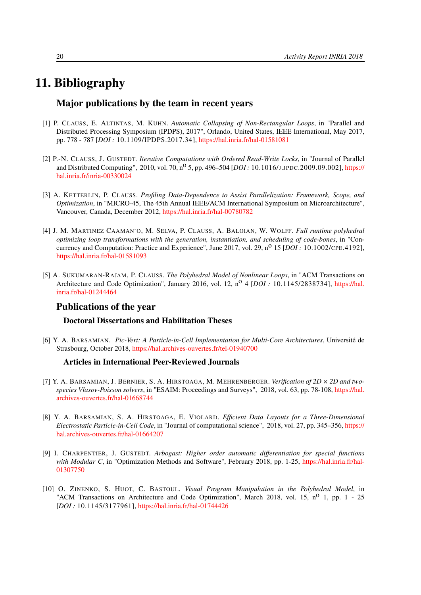# 11. Bibliography

## <span id="page-23-0"></span>Major publications by the team in recent years

- [1] P. CLAUSS, E. ALTINTAS, M. KUHN. *Automatic Collapsing of Non-Rectangular Loops*, in "Parallel and Distributed Processing Symposium (IPDPS), 2017", Orlando, United States, IEEE International, May 2017, pp. 778 - 787 [*DOI :* 10.1109/IPDPS.2017.34], <https://hal.inria.fr/hal-01581081>
- <span id="page-23-1"></span>[2] P.-N. CLAUSS, J. GUSTEDT. *Iterative Computations with Ordered Read-Write Locks*, in "Journal of Parallel and Distributed Computing", 2010, vol. 70, no 5, pp. 496–504 [*DOI :* 10.1016/J.JPDC.2009.09.002], [https://](https://hal.inria.fr/inria-00330024) [hal.inria.fr/inria-00330024](https://hal.inria.fr/inria-00330024)
- [3] A. KETTERLIN, P. CLAUSS. *Profiling Data-Dependence to Assist Parallelization: Framework, Scope, and Optimization*, in "MICRO-45, The 45th Annual IEEE/ACM International Symposium on Microarchitecture", Vancouver, Canada, December 2012, <https://hal.inria.fr/hal-00780782>
- <span id="page-23-4"></span>[4] J. M. MARTINEZ CAAMAN˜O, M. SELVA, P. CLAUSS, A. BALOIAN, W. WOLFF. *Full runtime polyhedral optimizing loop transformations with the generation, instantiation, and scheduling of code-bones*, in "Concurrency and Computation: Practice and Experience", June 2017, vol. 29, n<sup>o</sup> 15 [*DOI* : 10.1002/CPE.4192], <https://hal.inria.fr/hal-01581093>
- [5] A. SUKUMARAN-RAJAM, P. CLAUSS. *The Polyhedral Model of Nonlinear Loops*, in "ACM Transactions on Architecture and Code Optimization", January 2016, vol. 12, n<sup>o</sup> 4 [*DOI* : 10.1145/2838734], [https://hal.](https://hal.inria.fr/hal-01244464) [inria.fr/hal-01244464](https://hal.inria.fr/hal-01244464)

## Publications of the year

#### Doctoral Dissertations and Habilitation Theses

<span id="page-23-2"></span>[6] Y. A. BARSAMIAN. *Pic-Vert: A Particle-in-Cell Implementation for Multi-Core Architectures*, Université de Strasbourg, October 2018, <https://hal.archives-ouvertes.fr/tel-01940700>

#### Articles in International Peer-Reviewed Journals

- [7] Y. A. BARSAMIAN, J. BERNIER, S. A. HIRSTOAGA, M. MEHRENBERGER. *Verification of 2D × 2D and twospecies Vlasov-Poisson solvers*, in "ESAIM: Proceedings and Surveys", 2018, vol. 63, pp. 78-108, [https://hal.](https://hal.archives-ouvertes.fr/hal-01668744) [archives-ouvertes.fr/hal-01668744](https://hal.archives-ouvertes.fr/hal-01668744)
- [8] Y. A. BARSAMIAN, S. A. HIRSTOAGA, E. VIOLARD. *Efficient Data Layouts for a Three-Dimensional Electrostatic Particle-in-Cell Code*, in "Journal of computational science", 2018, vol. 27, pp. 345–356, [https://](https://hal.archives-ouvertes.fr/hal-01664207) [hal.archives-ouvertes.fr/hal-01664207](https://hal.archives-ouvertes.fr/hal-01664207)
- <span id="page-23-5"></span>[9] I. CHARPENTIER, J. GUSTEDT. *Arbogast: Higher order automatic differentiation for special functions* with Modular C, in "Optimization Methods and Software", February 2018, pp. 1-25, [https://hal.inria.fr/hal-](https://hal.inria.fr/hal-01307750)[01307750](https://hal.inria.fr/hal-01307750)
- <span id="page-23-3"></span>[10] O. ZINENKO, S. HUOT, C. BASTOUL. *Visual Program Manipulation in the Polyhedral Model*, in "ACM Transactions on Architecture and Code Optimization", March 2018, vol. 15,  $n^{\circ}$  1, pp. 1 - 25 [*DOI*: 10.1145/3177961], <https://hal.inria.fr/hal-01744426>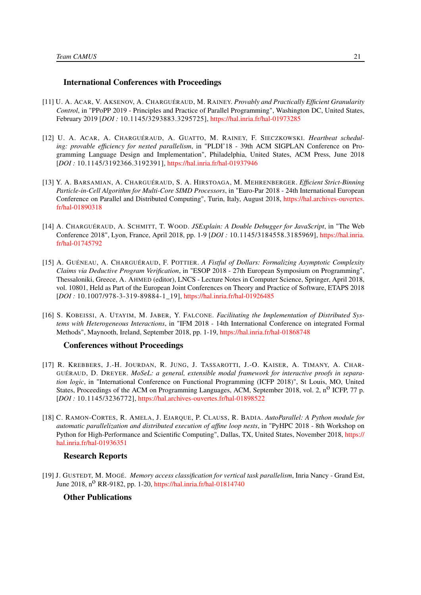#### International Conferences with Proceedings

- [11] U. A. ACAR, V. AKSENOV, A. CHARGUÉRAUD, M. RAINEY. *Provably and Practically Efficient Granularity Control*, in "PPoPP 2019 - Principles and Practice of Parallel Programming", Washington DC, United States, February 2019 [*DOI :* 10.1145/3293883.3295725], <https://hal.inria.fr/hal-01973285>
- <span id="page-24-3"></span>[12] U. A. ACAR, A. CHARGUÉRAUD, A. GUATTO, M. RAINEY, F. SIECZKOWSKI. *Heartbeat scheduling: provable efficiency for nested parallelism*, in "PLDI'18 - 39th ACM SIGPLAN Conference on Programming Language Design and Implementation", Philadelphia, United States, ACM Press, June 2018 [*DOI :* 10.1145/3192366.3192391], <https://hal.inria.fr/hal-01937946>
- <span id="page-24-2"></span>[13] Y. A. BARSAMIAN, A. CHARGUÉRAUD, S. A. HIRSTOAGA, M. MEHRENBERGER. *Efficient Strict-Binning Particle-in-Cell Algorithm for Multi-Core SIMD Processors*, in "Euro-Par 2018 - 24th International European Conference on Parallel and Distributed Computing", Turin, Italy, August 2018, [https://hal.archives-ouvertes.](https://hal.archives-ouvertes.fr/hal-01890318) [fr/hal-01890318](https://hal.archives-ouvertes.fr/hal-01890318)
- <span id="page-24-6"></span>[14] A. CHARGUÉRAUD, A. SCHMITT, T. WOOD. *JSExplain: A Double Debugger for JavaScript*, in "The Web Conference 2018", Lyon, France, April 2018, pp. 1-9 [*DOI :* 10.1145/3184558.3185969], [https://hal.inria.](https://hal.inria.fr/hal-01745792) [fr/hal-01745792](https://hal.inria.fr/hal-01745792)
- <span id="page-24-4"></span>[15] A. GUÉNEAU, A. CHARGUÉRAUD, F. POTTIER. *A Fistful of Dollars: Formalizing Asymptotic Complexity Claims via Deductive Program Verification*, in "ESOP 2018 - 27th European Symposium on Programming", Thessaloniki, Greece, A. AHMED (editor), LNCS - Lecture Notes in Computer Science, Springer, April 2018, vol. 10801, Held as Part of the European Joint Conferences on Theory and Practice of Software, ETAPS 2018 [*DOI :* 10.1007/978-3-319-89884-1\_19], <https://hal.inria.fr/hal-01926485>
- [16] S. KOBEISSI, A. UTAYIM, M. JABER, Y. FALCONE. *Facilitating the Implementation of Distributed Systems with Heterogeneous Interactions*, in "IFM 2018 - 14th International Conference on integrated Formal Methods", Maynooth, Ireland, September 2018, pp. 1-19, <https://hal.inria.fr/hal-01868748>

#### Conferences without Proceedings

- <span id="page-24-5"></span>[17] R. KREBBERS, J.-H. JOURDAN, R. JUNG, J. TASSAROTTI, J.-O. KAISER, A. TIMANY, A. CHAR-GUÉRAUD, D. DREYER. *MoSeL: a general, extensible modal framework for interactive proofs in separation logic*, in "International Conference on Functional Programming (ICFP 2018)", St Louis, MO, United States, Proceedings of the ACM on Programming Languages, ACM, September 2018, vol. 2, n<sup>o</sup> ICFP, 77 p. [*DOI :* 10.1145/3236772], <https://hal.archives-ouvertes.fr/hal-01898522>
- <span id="page-24-0"></span>[18] C. RAMON-CORTES, R. AMELA, J. EJARQUE, P. CLAUSS, R. BADIA. *AutoParallel: A Python module for automatic parallelization and distributed execution of affine loop nests*, in "PyHPC 2018 - 8th Workshop on Python for High-Performance and Scientific Computing", Dallas, TX, United States, November 2018, [https://](https://hal.inria.fr/hal-01936351) [hal.inria.fr/hal-01936351](https://hal.inria.fr/hal-01936351)

#### Research Reports

<span id="page-24-1"></span>[19] J. GUSTEDT, M. MOGÉ. *Memory access classification for vertical task parallelism*, Inria Nancy - Grand Est, June 2018, n<sup>o</sup> RR-9182, pp. 1-20, <https://hal.inria.fr/hal-01814740>

#### Other Publications